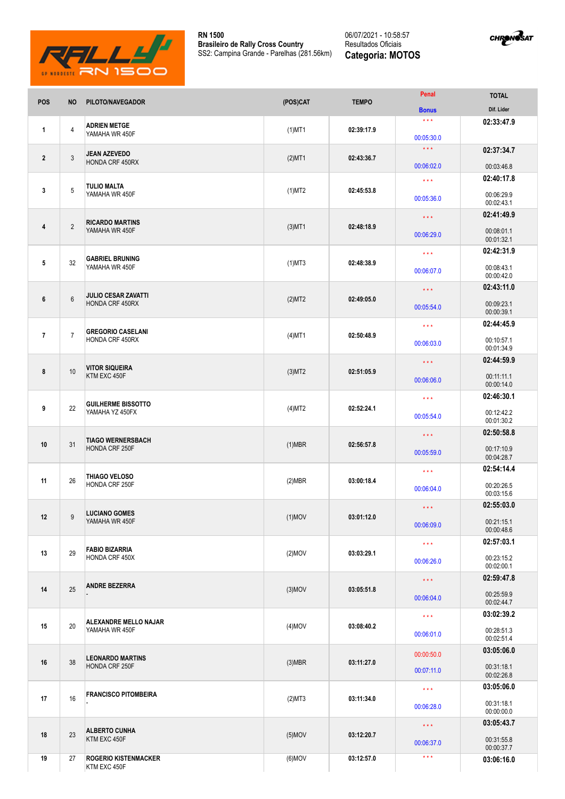

**RN 1500 Brasileiro de Rally Cross Country** SS2: Campina Grande - Parelhas (281.56km)

## 06/07/2021 - 10:58:57 Resultados Oficiais **Categoria: MOTOS**



| POS            | <b>NO</b>       | PILOTO/NAVEGADOR                                     | (POS)CAT  | <b>TEMPO</b> | Penal                             | <b>TOTAL</b>             |
|----------------|-----------------|------------------------------------------------------|-----------|--------------|-----------------------------------|--------------------------|
|                |                 |                                                      |           |              | <b>Bonus</b><br>$\star\star\star$ | Dif. Lider<br>02:33:47.9 |
| $\mathbf{1}$   | 4               | <b>ADRIEN METGE</b><br>YAMAHA WR 450F                | $(1)$ MT1 | 02:39:17.9   | 00:05:30.0                        |                          |
| $\overline{2}$ |                 | <b>JEAN AZEVEDO</b><br>HONDA CRF 450RX               | $(2)$ MT1 | 02:43:36.7   | $\star\star\star$                 | 02:37:34.7               |
|                | 3               |                                                      |           |              | 00:06:02.0                        | 00:03:46.8               |
|                |                 | <b>TULIO MALTA</b><br>YAMAHA WR 450F                 | $(1)$ MT2 | 02:45:53.8   | $\star\star\star$                 | 02:40:17.8               |
| 3              | 5               |                                                      |           |              | 00:05:36.0                        | 00:06:29.9<br>00:02:43.1 |
| 4              | $\overline{2}$  | <b>RICARDO MARTINS</b><br>YAMAHA WR 450F             | $(3)$ MT1 | 02:48:18.9   | $\star$ $\star$ $\star$           | 02:41:49.9               |
|                |                 |                                                      |           |              | 00:06:29.0                        | 00:08:01.1<br>00:01:32.1 |
|                |                 |                                                      |           | 02:48:38.9   | $\star\star\star$                 | 02:42:31.9               |
| 5              | 32              | <b>GABRIEL BRUNING</b><br>YAMAHA WR 450F             | $(1)$ MT3 |              | 00:06:07.0                        | 00:08:43.1<br>00:00:42.0 |
|                |                 | <b>JULIO CESAR ZAVATTI</b><br><b>HONDA CRF 450RX</b> | (2)MT2    | 02:49:05.0   | $\star\star\star$                 | 02:43:11.0               |
| 6              | $6\phantom{1}6$ |                                                      |           |              | 00:05:54.0                        | 00:09:23.1<br>00:00:39.1 |
|                |                 |                                                      |           |              | $\star\star\star$                 | 02:44:45.9               |
| $\overline{7}$ | $\overline{7}$  | <b>GREGORIO CASELANI</b><br>HONDA CRF 450RX          | $(4)$ MT1 | 02:50:48.9   | 00:06:03.0                        | 00:10:57.1<br>00:01:34.9 |
|                |                 | <b>VITOR SIQUEIRA</b><br>KTM EXC 450F                |           |              | $\star\star\star$                 | 02:44:59.9               |
| 8              | 10              |                                                      | $(3)$ MT2 | 02:51:05.9   | 00:06:06.0                        | 00:11:11.1<br>00:00:14.0 |
|                |                 | <b>GUILHERME BISSOTTO</b><br>YAMAHA YZ 450FX         | $(4)$ MT2 |              | $\star \star \star$               | 02:46:30.1               |
| 9              | 22              |                                                      |           | 02:52:24.1   | 00:05:54.0                        | 00:12:42.2<br>00:01:30.2 |
|                |                 |                                                      |           |              | $\star\star\star$                 | 02:50:58.8               |
| 10             | 31              | <b>TIAGO WERNERSBACH</b><br>HONDA CRF 250F           | $(1)$ MBR | 02:56:57.8   | 00:05:59.0                        | 00:17:10.9               |
|                |                 |                                                      |           |              |                                   | 00:04:28.7<br>02:54:14.4 |
| 11             | 26              | THIAGO VELOSO<br><b>HONDA CRF 250F</b>               | (2)MBR    | 03:00:18.4   | $\star\star\star$                 |                          |
|                |                 |                                                      |           |              | 00:06:04.0                        | 00:20:26.5<br>00:03:15.6 |
| 12             | 9               | <b>LUCIANO GOMES</b><br>YAMAHA WR 450F               | $(1)$ MOV | 03:01:12.0   | $\star$ $\star$ $\star$           | 02:55:03.0               |
|                |                 |                                                      |           |              | 00:06:09.0                        | 00:21:15.1               |
|                |                 |                                                      |           |              |                                   | 00:00:48.6               |
| 13             | 29              | <b>FABIO BIZARRIA</b><br>HONDA CRF 450X              | $(2)$ MOV | 03:03:29.1   | $\star\star\star$                 | 02:57:03.1               |
|                |                 |                                                      |           |              | 00:06:26.0                        | 00:23:15.2<br>00:02:00.1 |
|                | 25              | <b>ANDRE BEZERRA</b>                                 | $(3)$ MOV | 03:05:51.8   | $\star\star\star$                 | 02:59:47.8               |
| 14             |                 |                                                      |           |              | 00:06:04.0                        | 00:25:59.9<br>00:02:44.7 |
|                |                 | ALEXANDRE MELLO NAJAR<br>YAMAHA WR 450F              | $(4)$ MOV | 03:08:40.2   | $\star\star\star$                 | 03:02:39.2               |
| 15             | 20              |                                                      |           |              | 00:06:01.0                        | 00:28:51.3<br>00:02:51.4 |
|                | 38              | <b>LEONARDO MARTINS</b><br>HONDA CRF 250F            | $(3)$ MBR | 03:11:27.0   | 00:00:50.0                        | 03:05:06.0               |
| 16             |                 |                                                      |           |              | 00:07:11.0                        | 00:31:18.1<br>00:02:26.8 |
|                | 16              | <b>FRANCISCO PITOMBEIRA</b>                          | (2)MT3    | 03:11:34.0   | $\star\star\star$                 | 03:05:06.0               |
| 17             |                 |                                                      |           |              | 00:06:28.0                        | 00:31:18.1               |
|                |                 |                                                      |           |              |                                   | 00:00:00.0<br>03:05:43.7 |
| 18             | 23              | <b>ALBERTO CUNHA</b><br>KTM EXC 450F                 | $(5)$ MOV | 03:12:20.7   | $\star\star\star$                 |                          |
|                |                 |                                                      |           |              | 00:06:37.0                        | 00:31:55.8<br>00:00:37.7 |
| 19             | 27              | <b>ROGERIO KISTENMACKER</b><br>KTM EXC 450F          | $(6)$ MOV | 03:12:57.0   | $\star\star\star$                 | 03:06:16.0               |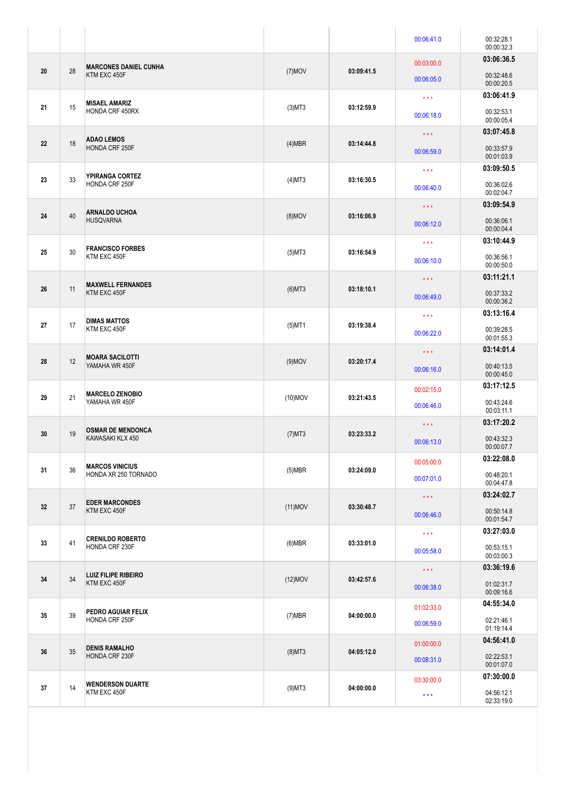|    |    |                                                |            |            | 00:06:41.0        | 00:32:28.1<br>00:00:32.3 |
|----|----|------------------------------------------------|------------|------------|-------------------|--------------------------|
| 20 | 28 | <b>MARCONES DANIEL CUNHA</b><br>KTM EXC 450F   | $(7)$ MOV  | 03:09:41.5 | 00:03:00.0        | 03:06:36.5               |
|    |    |                                                |            |            | 00:06:05.0        | 00:32:48.6<br>00:00:20.5 |
| 21 | 15 | <b>MISAEL AMARIZ</b><br><b>HONDA CRF 450RX</b> | $(3)$ MT3  | 03:12:59.9 | $\star\star\star$ | 03:06:41.9               |
|    |    |                                                |            |            | 00:06:18.0        | 00:32:53.1<br>00:00:05.4 |
|    | 18 | <b>ADAO LEMOS</b><br><b>HONDA CRF 250F</b>     | $(4)$ MBR  | 03:14:44.8 | $\star\star\star$ | 03:07:45.8               |
| 22 |    |                                                |            |            | 00:06:59.0        | 00:33:57.9<br>00:01:03.9 |
| 23 | 33 | YPIRANGA CORTEZ<br><b>HONDA CRF 250F</b>       | $(4)$ MT3  | 03:16:30.5 | $\star\star\star$ | 03:09:50.5               |
|    |    |                                                |            |            | 00:06:40.0        | 00:36:02.6<br>00:02:04.7 |
|    | 40 | <b>ARNALDO UCHOA</b><br><b>HUSQVARNA</b>       | $(8)$ MOV  | 03:16:06.9 | $\star\star\star$ | 03:09:54.9               |
| 24 |    |                                                |            |            | 00:06:12.0        | 00:36:06.1<br>00:00:04.4 |
|    | 30 | <b>FRANCISCO FORBES</b><br>KTM EXC 450F        | $(5)$ MT3  | 03:16:54.9 | $\star\star\star$ | 03:10:44.9               |
| 25 |    |                                                |            |            | 00:06:10.0        | 00:36:56.1<br>00:00:50.0 |
|    | 11 | <b>MAXWELL FERNANDES</b><br>KTM EXC 450F       |            |            | $\star\star\star$ | 03:11:21.1               |
| 26 |    |                                                | $(6)$ MT3  | 03:18:10.1 | 00:06:49.0        | 00:37:33.2<br>00:00:36.2 |
|    |    | <b>DIMAS MATTOS</b><br>KTM EXC 450F            |            |            | $\star\star\star$ | 03:13:16.4               |
| 27 | 17 |                                                | $(5)$ MT1  | 03:19:38.4 | 00:06:22.0        | 00:39:28.5<br>00:01:55.3 |
|    | 12 | <b>MOARA SACILOTTI</b><br>YAMAHA WR 450F       | $(9)$ MOV  | 03:20:17.4 | $\star\star\star$ | 03:14:01.4               |
| 28 |    |                                                |            |            | 00:06:16.0        | 00:40:13.5<br>00:00:45.0 |
|    | 21 | <b>MARCELO ZENOBIO</b><br>YAMAHA WR 450F       | $(10)$ MOV | 03:21:43.5 | 00:02:15.0        | 03:17:12.5               |
| 29 |    |                                                |            |            | 00:06:46.0        | 00:43:24.6<br>00:03:11.1 |
|    | 19 | <b>OSMAR DE MENDONCA</b><br>KAWASAKI KLX 450   | $(7)$ MT3  | 03:23:33.2 | $\star\star\star$ | 03:17:20.2               |
| 30 |    |                                                |            |            | 00:06:13.0        | 00:43:32.3<br>00:00:07.7 |
|    | 36 | <b>MARCOS VINICIUS</b><br>HONDA XR 250 TORNADO | $(5)$ MBR  | 03:24:09.0 | 00:05:00.0        | 03:22:08.0               |
| 31 |    |                                                |            |            | 00:07:01.0        | 00:48:20.1<br>00:04:47.8 |
|    | 37 | <b>EDER MARCONDES</b><br>KTM EXC 450F          | $(11)$ MOV | 03:30:48.7 | $\star\star\star$ | 03:24:02.7               |
| 32 |    |                                                |            |            | 00:06:46.0        | 00:50:14.8<br>00:01:54.7 |
|    | 41 | <b>CRENILDO ROBERTO</b><br>HONDA CRF 230F      | $(6)$ MBR  | 03:33:01.0 | $\star\star\star$ | 03:27:03.0               |
| 33 |    |                                                |            |            | 00:05:58.0        | 00:53:15.1<br>00:03:00.3 |
|    | 34 | <b>LUIZ FILIPE RIBEIRO</b><br>KTM EXC 450F     | $(12)$ MOV | 03:42:57.6 | $\star\star\star$ | 03:36:19.6               |
| 34 |    |                                                |            |            | 00:06:38.0        | 01:02:31.7<br>00:09:16.6 |
|    | 39 | PEDRO AGUIAR FELIX<br>HONDA CRF 250F           | $(7)$ MBR  | 04:00:00.0 | 01:02:33.0        | 04:55:34.0               |
| 35 |    |                                                |            |            | 00:06:59.0        | 02:21:46.1<br>01:19:14.4 |
| 36 | 35 | <b>DENIS RAMALHO</b><br>HONDA CRF 230F         | $(8)$ MT3  | 04:05:12.0 | 01:00:00.0        | 04:56:41.0               |
|    |    |                                                |            |            | 00:08:31.0        | 02:22:53.1<br>00:01:07.0 |
| 37 | 14 | <b>WENDERSON DUARTE</b><br>KTM EXC 450F        | $(9)$ MT3  | 04:00:00.0 | 03:30:00.0        | 07:30:00.0               |
|    |    |                                                |            |            | $\star\star\star$ | 04:56:12.1<br>02:33:19.0 |